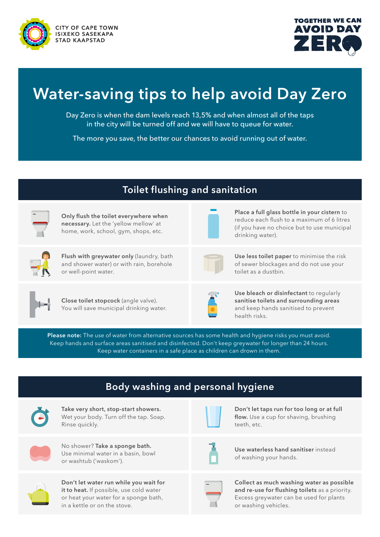



# **Water-saving tips to help avoid Day Zero**

Day Zero is when the dam levels reach 13,5% and when almost all of the taps in the city will be turned off and we will have to queue for water.

The more you save, the better our chances to avoid running out of water.

#### **Toilet flushing and sanitation Only flush the toilet everywhere when necessary.** Let the 'yellow mellow' at home, work, school, gym, shops, etc. **Place a full glass bottle in your cistern** to reduce each flush to a maximum of 6 litres (if you have no choice but to use municipal drinking water). **Flush with greywater only** (laundry, bath and shower water) or with rain, borehole or well-point water.

**Use less toilet paper** to minimise the risk of sewer blockages and do not use your toilet as a dustbin.



**Close toilet stopcock** (angle valve). You will save municipal drinking water.



**Use bleach or disinfectant** to regularly **sanitise toilets and surrounding areas** and keep hands sanitised to prevent health risks.

**Please note:** The use of water from alternative sources has some health and hygiene risks you must avoid. Keep hands and surface areas sanitised and disinfected. Don't keep greywater for longer than 24 hours. Keep water containers in a safe place as children can drown in them.

| <b>Body washing and personal hygiene</b> |                                                                                                                                                            |  |                                                                                                                                                                |  |
|------------------------------------------|------------------------------------------------------------------------------------------------------------------------------------------------------------|--|----------------------------------------------------------------------------------------------------------------------------------------------------------------|--|
|                                          | Take very short, stop-start showers.<br>Wet your body. Turn off the tap. Soap.<br>Rinse quickly.                                                           |  | Don't let taps run for too long or at full<br>flow. Use a cup for shaving, brushing<br>teeth, etc.                                                             |  |
|                                          | No shower? Take a sponge bath.<br>Use minimal water in a basin, bowl<br>or washtub ('waskom').                                                             |  | Use waterless hand sanitiser instead<br>of washing your hands.                                                                                                 |  |
|                                          | Don't let water run while you wait for<br>it to heat. If possible, use cold water<br>or heat your water for a sponge bath,<br>in a kettle or on the stove. |  | Collect as much washing water as possible<br>and re-use for flushing toilets as a priority.<br>Excess greywater can be used for plants<br>or washing vehicles. |  |